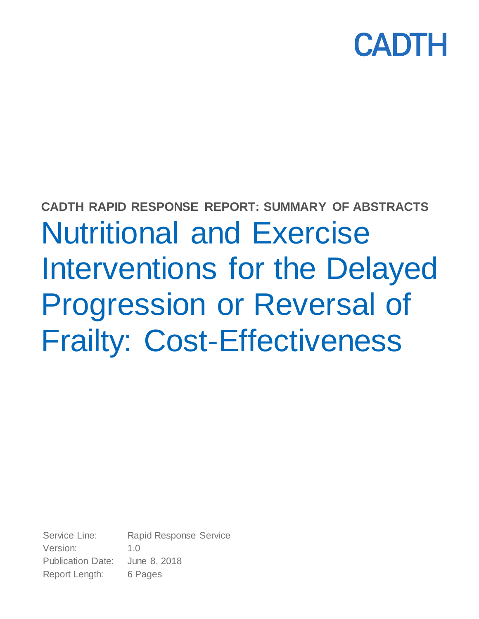

# **CADTH RAPID RESPONSE REPORT: SUMMARY OF ABSTRACTS** Nutritional and Exercise Interventions for the Delayed Progression or Reversal of Frailty: Cost-Effectiveness

Service Line: Rapid Response Service Version: 1.0 Publication Date: June 8, 2018 Report Length: 6 Pages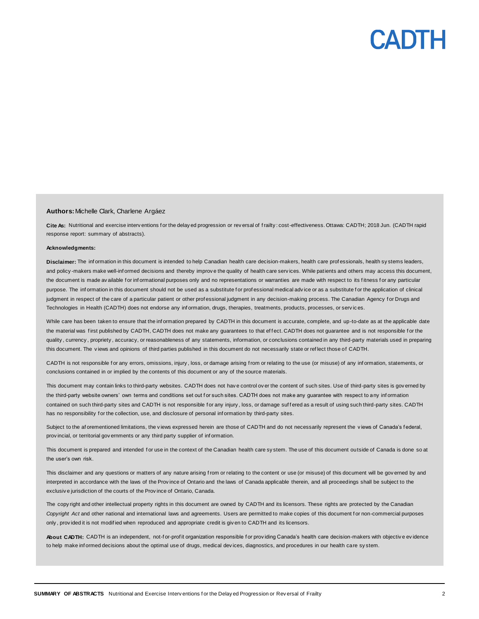# PADIH

### **Authors:** Michelle Clark, Charlene Argáez

Cite As: Nutritional and exercise interv entions for the delay ed progression or rev ersal of frailty: cost-effectiveness. Ottawa: CADTH; 2018 Jun. (CADTH rapid response report: summary of abstracts).

#### **Acknowledgments:**

**Disclaimer:** The inf ormation in this document is intended to help Canadian health care decision-makers, health care prof essionals, health sy stems leaders, and policy -makers make well-inf ormed decisions and thereby improv e the quality of health care serv ices. While patients and others may access this document, the document is made av ailable for informational purposes only and no representations or warranties are made with respect to its fitness for any particular purpose. The inf ormation in this document should not be used as a substitute f or prof essional medical adv ice or as a substitute f or the application of clinical judgment in respect of the care of a particular patient or other professional judgment in any decision-making process. The Canadian Agency for Drugs and Technologies in Health (CADTH) does not endorse any inf ormation, drugs, therapies, treatments, products, processes, or serv ic es.

While care has been taken to ensure that the inf ormation prepared by CADTH in this document is accurate, complete, and up-to-date as at the applicable date the material was first published by CADTH, CADTH does not make any guarantees to that effect. CADTH does not guarantee and is not responsible for the quality , currency , propriety , accuracy, or reasonableness of any statements, information, or conclusions contained in any third-party materials used in preparing this document. The v iews and opinions of third parties published in this document do not necessarily state or ref lect those of CADTH.

CADTH is not responsible for any errors, omissions, injury, loss, or damage arising from or relating to the use (or misuse) of any information, statements, or conclusions contained in or implied by the contents of this document or any of the source materials.

This document may contain links to third-party websites. CADTH does not have control over the content of such sites. Use of third-party sites is governed by the third-party website owners' own terms and conditions set out for such sites. CADTH does not make any guarantee with respect to any information contained on such third-party sites and CADTH is not responsible for any injury, loss, or damage suffered as a result of using such third-party sites. CADTH has no responsibility for the collection, use, and disclosure of personal information by third-party sites.

Subject to the af orementioned limitations, the v iews expressed herein are those of CADTH and do not necessarily represent the v iews of Canada's f ederal, prov incial, or territorial gov ernments or any third party supplier of inf ormation.

This document is prepared and intended for use in the context of the Canadian health care sy stem. The use of this document outside of Canada is done so at the user's own risk.

This disclaimer and any questions or matters of any nature arising from or relating to the content or use (or misuse) of this document will be governed by and interpreted in accordance with the laws of the Prov ince of Ontario and the laws of Canada applicable therein, and all proceedings shall be subject to the exclusiv e jurisdiction of the courts of the Prov ince of Ontario, Canada.

The copy right and other intellectual property rights in this document are owned by CADTH and its licensors. These rights are protected by the Canadian Copyright Act and other national and international laws and agreements. Users are permitted to make copies of this document for non-commercial purposes only , prov ided it is not modif ied when reproduced and appropriate credit is giv en to CADTH and its licensors.

About CADTH: CADTH is an independent, not-for-profit organization responsible for providing Canada's health care decision-makers with objective evidence to help make inf ormed decisions about the optimal use of drugs, medical dev ices, diagnostics, and procedures in our health care sy stem.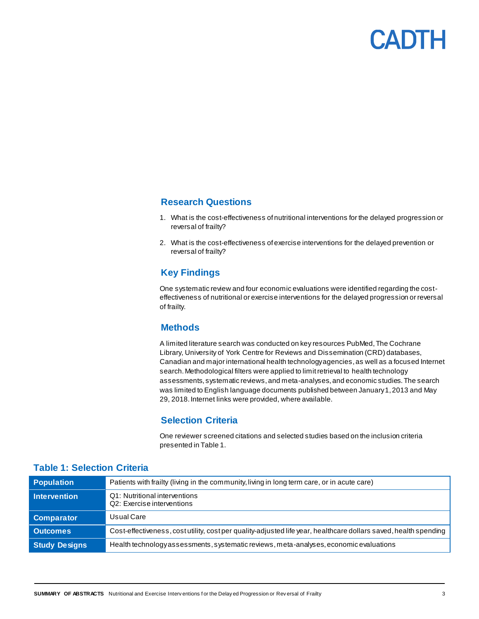

# **Research Questions**

- 1. What is the cost-effectiveness of nutritional interventions for the delayed progression or reversal of frailty?
- 2. What is the cost-effectiveness of exercise interventions for the delayed prevention or reversal of frailty?

# **Key Findings**

One systematic review and four economic evaluations were identified regarding the costeffectiveness of nutritional or exercise interventions for the delayed progression or reversal of frailty.

# **Methods**

A limited literature search was conducted on key resources PubMed, The Cochrane Library, University of York Centre for Reviews and Dissemination (CRD) databases, Canadian and major international health technology agencies, as well as a focused Internet search. Methodological filters were applied to limit retrieval to health technology assessments, systematic reviews, and meta-analyses, and economic studies. The search was limited to English language documents published between January 1, 2013 and May 29, 2018. Internet links were provided, where available.

# **Selection Criteria**

One reviewer screened citations and selected studies based on the inclusion criteria presented in Table 1.

| <b>Population</b>    | Patients with frailty (living in the community, living in long term care, or in acute care)                      |
|----------------------|------------------------------------------------------------------------------------------------------------------|
| Intervention         | Q1: Nutritional interventions<br>Q2: Exercise interventions                                                      |
| <b>Comparator</b>    | Usual Care                                                                                                       |
| <b>Outcomes</b>      | Cost-effectiveness, cost utility, cost per quality-adjusted life year, healthcare dollars saved, health spending |
| <b>Study Designs</b> | Health technology as sessments, systematic reviews, meta-analyses, economic evaluations                          |

# **Table 1: Selection Criteria**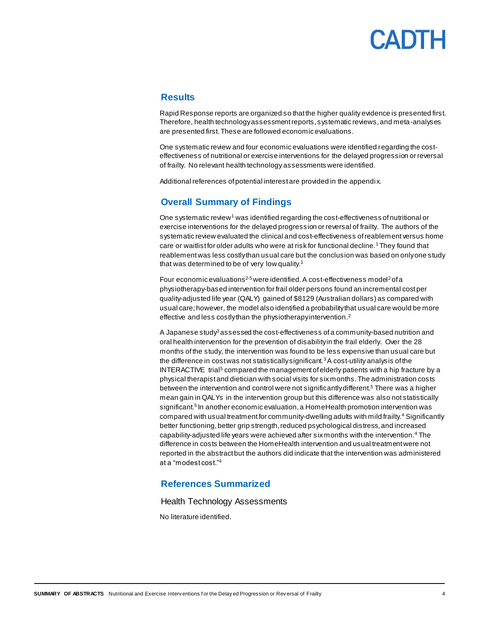# CADTH

# **Results**

Rapid Response reports are organized so that the higher quality evidence is presented first. Therefore, health technology assessment reports, systematic reviews, and meta-analyses are presented first. These are followed economic evaluations.

One systematic review and four economic evaluations were identified regarding the costeffectiveness of nutritional or exercise interventions for the delayed progression or reversal of frailty. No relevant health technology assessments were identified.

Additional references of potential interest are provided in the appendix.

# **Overall Summary of Findings**

One systematic review<sup>1</sup> was identified regarding the cost-effectiveness of nutritional or exercise interventions for the delayed progression or reversal of frailty. The authors of the systematic review evaluated the clinical and cost-effectiveness of reablement versus home care or waitlist for older adults who were at risk for functional decline.<sup>1</sup>They found that reablement was less costly than usual care but the conclusion was based on only one study that was determined to be of very low quality.<sup>1</sup>

Four economic evaluations<sup>2-5</sup> were identified. A cost-effectiveness model<sup>2</sup> of a physiotherapy-based intervention for frail older persons found an incremental cost per quality-adjusted life year (QALY) gained of \$8129 (Australian dollars) as compared with usual care; however, the model also identified a probability that usual care would be more effective and less costly than the physiotherapy intervention.<sup>2</sup>

A Japanese study<sup>3</sup> assessed the cost-effectiveness of a community-based nutrition and oral health intervention for the prevention of disability in the frail elderly. Over the 28 months of the study, the intervention was found to be less expensive than usual care but the difference in cost was not statistically significant.<sup>3</sup> A cost-utility analysis of the INTERACTIVE trial<sup>5</sup> compared the management of elderly patients with a hip fracture by a physical therapist and dietician with social visits for six months. The administration costs between the intervention and control were not significantly different.<sup>5</sup> There was a higher mean gain in QALYs in the intervention group but this difference was also not statistically significant.<sup>5</sup> In another economic evaluation, a HomeHealth promotion intervention was compared with usual treatment for community-dwelling adults with mild frailty.<sup>4</sup> Significantly better functioning, better grip strength, reduced psychological distress, and increased capability-adjusted life years were achieved after six months with the intervention.<sup>4</sup> The difference in costs between the HomeHealth intervention and usual treatment were not reported in the abstract but the authors did indicate that the intervention was administered at a "modest cost." 4

# **References Summarized**

Health Technology Assessments

No literature identified.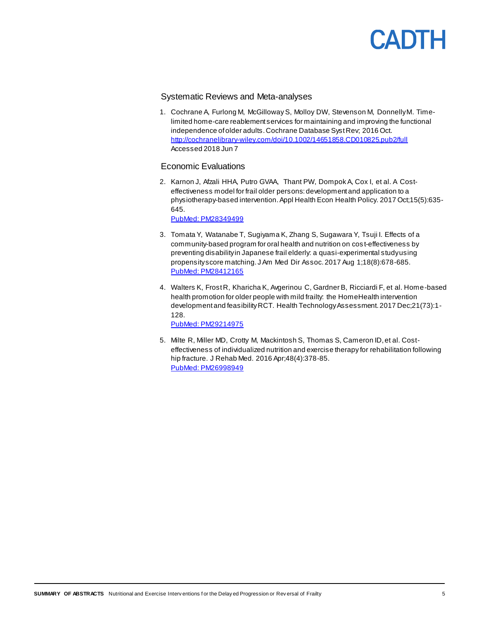

# Systematic Reviews and Meta-analyses

1. Cochrane A, Furlong M, McGilloway S, Molloy DW, Stevenson M, Donnelly M. Timelimited home-care reablement services for maintaining and improving the functional independence of older adults. Cochrane Database Syst Rev; 2016 Oct. <http://cochranelibrary-wiley.com/doi/10.1002/14651858.CD010825.pub2/full> Accessed 2018 Jun 7

### Economic Evaluations

2. Karnon J, Afzali HHA, Putro GVAA, Thant PW, Dompok A, Cox I, et al. A Costeffectiveness model for frail older persons: development and application to a physiotherapy-based intervention. Appl Health Econ Health Policy. 2017 Oct;15(5):635- 645.

[PubMed: PM28349499](https://www.ncbi.nlm.nih.gov/pubmed/?term=28349499)

- 3. Tomata Y, Watanabe T, Sugiyama K, Zhang S, Sugawara Y, Tsuji I. Effects of a community-based program for oral health and nutrition on cos t-effectiveness by preventing disability in Japanese frail elderly: a quasi-experimental study using propensity score matching. J Am Med Dir Assoc. 2017 Aug 1;18(8):678-685. [PubMed: PM28412165](http://www.ncbi.nlm.nih.gov/pubmed/28412165)
- 4. Walters K, Frost R, Kharicha K, Avgerinou C, Gardner B, Ricciardi F, et al. Home-based health promotion for older people with mild frailty: the HomeHealth intervention development and feasibility RCT. Health Technology Assessment. 2017 Dec;21(73):1- 128.

[PubMed: PM29214975](http://www.ncbi.nlm.nih.gov/pubmed/29214975)

5. Milte R, Miller MD, Crotty M, Mackintosh S, Thomas S, Cameron ID, et al. Costeffectiveness of individualized nutrition and exercise therapy for rehabilitation following hip fracture. J Rehab Med. 2016 Apr;48(4):378-85. [PubMed: PM26998949](http://www.ncbi.nlm.nih.gov/pubmed/26998949)